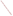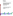

# **Environmental Technology Verification Program**  Advanced Monitoring **Systems Pilot**

Test/QA Plan for Verification of Optical Open-Path **Monitors** 

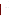Optical Open-Path Monitors Test/QA Plan Revision 1 Date: 10/28/99 Page: 1 of 67

# **TEST/QA PLAN**

**FOR** 

# **VERIFICATION OF OPTICAL OPEN-PATH MONITORS**

**October 28, 1999** 

**Prepared by** 

**Battelle 505 King Avenue Columbus, OH 43201-2693**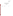Optical Open-Path Monitors Test/QA Plan Revision 1 Date: 10/28/99 Page: 2 of 67

# **TEST/QA PLAN FOR VERIFICATION OF OPTICAL OPEN-PATH MONITORS**

**October 28, 1999** 

**APPROVAL** 

\_\_\_\_\_\_\_\_\_\_\_\_\_\_\_ \_\_\_\_\_\_\_\_\_\_\_\_\_\_\_\_\_\_\_\_\_\_\_\_\_\_\_\_\_\_ \_\_\_\_\_\_\_\_\_\_\_\_\_\_\_\_\_\_\_\_\_

**Vendor Name Approval Date Branch Date**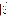**Optical Open-Path Monitors** Test/QA Plan Revision 1 Date: 10/28/99 Page: 3 of 67

# **TABLE OF CONTENTS**

| 1. | 1.1.<br>1.2.<br>1.3.         |                                                    |
|----|------------------------------|----------------------------------------------------|
| 2. |                              |                                                    |
| 3. | 3.1.<br>3.2.                 | 3.2.1<br>3.2.2<br>3.2.3                            |
| 4. | 4.1.<br>4.2.                 |                                                    |
| 5. | 5.1.<br>5.2.<br>5.3.<br>5.4. | 5.3.1<br>5.3.2<br>5.3.3<br>5.3.4<br>5.3.5<br>5.3.6 |
|    |                              | 5.4.2<br>5.4.3<br>5.4.4<br>5.4.5<br>5.4.6          |
|    | 5.5.                         | 5.5.1                                              |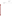| <b>Optical Open-Path Monitors</b> |  |  |  |  |  |  |  |
|-----------------------------------|--|--|--|--|--|--|--|
| Test/QA Plan                      |  |  |  |  |  |  |  |
| Revision 1                        |  |  |  |  |  |  |  |
| Date: 10/28/99                    |  |  |  |  |  |  |  |
| Page: $4 \text{ of } 67$          |  |  |  |  |  |  |  |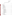Optical Open-Path Monitors Test/QA Plan Revision 1 Date: 10/28/99 Page: 5 of 67

# **TABLE OF CONTENTS (CONTINUED)**

| 6.<br>7.<br>7.1.<br>7.2.<br>7.3.<br>7.4.<br>7.5.<br>7.6.<br>7.7.<br>7.8.<br>7.9.<br>7.10.<br>8.<br>8.1.<br>8.1.1<br>8.1.2<br>8.1.3<br>8.1.4<br>8.1.5<br>8.1.6<br>8.1.7<br>8.1.8<br>8.2.<br>8.2.1<br>8.2.2<br>8.2.3<br>8.3.<br>8.4.<br>9.<br>9.1.<br>9.2.<br>9.2.1 |  | 5.5.6 |  |
|-------------------------------------------------------------------------------------------------------------------------------------------------------------------------------------------------------------------------------------------------------------------|--|-------|--|
|                                                                                                                                                                                                                                                                   |  |       |  |
|                                                                                                                                                                                                                                                                   |  |       |  |
|                                                                                                                                                                                                                                                                   |  |       |  |
|                                                                                                                                                                                                                                                                   |  |       |  |
|                                                                                                                                                                                                                                                                   |  |       |  |
|                                                                                                                                                                                                                                                                   |  |       |  |
|                                                                                                                                                                                                                                                                   |  |       |  |
|                                                                                                                                                                                                                                                                   |  |       |  |
|                                                                                                                                                                                                                                                                   |  |       |  |
|                                                                                                                                                                                                                                                                   |  |       |  |
|                                                                                                                                                                                                                                                                   |  |       |  |
|                                                                                                                                                                                                                                                                   |  |       |  |
|                                                                                                                                                                                                                                                                   |  |       |  |
|                                                                                                                                                                                                                                                                   |  |       |  |
|                                                                                                                                                                                                                                                                   |  |       |  |
|                                                                                                                                                                                                                                                                   |  |       |  |
|                                                                                                                                                                                                                                                                   |  |       |  |
|                                                                                                                                                                                                                                                                   |  |       |  |
|                                                                                                                                                                                                                                                                   |  |       |  |
|                                                                                                                                                                                                                                                                   |  |       |  |
|                                                                                                                                                                                                                                                                   |  |       |  |
|                                                                                                                                                                                                                                                                   |  |       |  |
|                                                                                                                                                                                                                                                                   |  |       |  |
|                                                                                                                                                                                                                                                                   |  |       |  |
|                                                                                                                                                                                                                                                                   |  |       |  |
|                                                                                                                                                                                                                                                                   |  |       |  |
|                                                                                                                                                                                                                                                                   |  |       |  |
|                                                                                                                                                                                                                                                                   |  |       |  |
|                                                                                                                                                                                                                                                                   |  |       |  |
|                                                                                                                                                                                                                                                                   |  |       |  |
|                                                                                                                                                                                                                                                                   |  |       |  |
|                                                                                                                                                                                                                                                                   |  |       |  |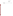| <b>Optical Open-Path Monitors</b> |  |  |  |  |  |  |  |
|-----------------------------------|--|--|--|--|--|--|--|
| Test/QA Plan                      |  |  |  |  |  |  |  |
| Revision 1                        |  |  |  |  |  |  |  |
| Date: 10/28/99                    |  |  |  |  |  |  |  |
| Page: 6 of 67                     |  |  |  |  |  |  |  |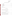Optical Open-Path Monitors Test/QA Plan Revision 1 Date: 10/28/99 Page: 7 of 67

# **TABLE OF CONTENTS (CONTINUED)**

|     | 9.3. |  |
|-----|------|--|
| 10. |      |  |
|     |      |  |
| 12. |      |  |
|     |      |  |

# **LIST OF FIGURES**

# **LIST OF TABLES**

| 1. Optical Open-Path Monitor Verification Measurement Order for a Single Gas  18 |
|----------------------------------------------------------------------------------|
|                                                                                  |
|                                                                                  |
|                                                                                  |
|                                                                                  |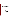Optical Open-Path Monitors Test/QA Plan Revision 1 Date: 10/28/99 Page: 8 of 67

| $1$ Inproduced $\lambda$ |  |
|--------------------------|--|

## **1. INTRODUCTION**

#### **1.1. Test Description**

This test/QA plan provides detailed procedures for a verification test of optical open-path monitors for use in ambient air or fenceline measurements. The verification test will be conducted under the auspices of the U.S. Environmental Protection Agency (EPA) through the Environmental Technology Verification (ETV) program. The purpose of ETV is to provide objective and quality assured performance data on environmental technologies, so that users, developers, regulators, and consultants have an independent and credible assessment of what they are buying and permitting.

The verification test will be performed by Battelle, of Columbus, Ohio, which is managing the ETV Advanced Monitoring Systems (AMS) pilot through a cooperative agreement with EPA (CR826215). The scope of the AMS pilot covers verification of monitoring methods for contaminants and natural species in air, water, and soil. In performing the verification test, Battelle will follow procedures specified in this test/QA plan, and will comply with the quality requirements in the "Quality Management Plan for the ETV Advanced Monitoring Systems Pilot" (QMP).<sup>1</sup>

#### **1.2. Test Objective**

The goal of this verification test is to quantify the verification parameters of commercially available optical open-path monitors for use at facilities concerned with emissions or ambient levels of volatile organic or inorganic chemicals. This verification will involve challenging these monitors with known reference gas samples under realistic operational conditions.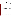Optical Open-Path Monitors Test/QA Plan Revision 1 Date: 10/28/99 Page: 9 of 67

## **1.3. Applicability**

The technologies tested under this plan are commercial optical open-path monitors capable of real-time monitoring of atmospheric pollutants. These monitors are typically used over greater than 100 meter path lengths, and present the users with information about the concentrations of gases that are present in the air between the light source and the detector. In such applications these open-path monitors can provide real-time continuous monitoring of air quality, and allow early warning of potential non-compliance conditions, or emergency release situations. In contrast, grab sample analysis by standard methods is both time-consuming and non-continuous.

# **2. TECHNOLOGY DESCRIPTION**

The monitors to be verified under this test/QA plan rely upon a radiation source (ultraviolet, visible, or infrared) and a detector used together to identify and quantify the levels of certain chemicals in the atmosphere. These monitors are typically used in a continuous monitoring mode and in many cases are able to provide simultaneous monitoring of several compounds. Although the overall design requirements for the different spectral ranges are significantly different, the basic components of these technologies are similar.

In general, these monitors contain at least the following components:

- Radiation source
- **Optics**
- **Detector**
- Data processing algorithms.

The radiation sources for these technologies belong to one of three distinct groups. The monitors operating in the ultraviolet (UV) region of the spectrum use a continuous or non-continuous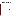Optical Open-Path Monitors Test/QA Plan Revision 1 Date: 10/28/99 Page: 10 of 67

lamp that provides broad-band radiation in the UV and visible regions. The monitors using tunable diode laser (TDL) technology use a laser to provide radiation over a very narrow spectral range in the near infrared. That spectral range can be tuned over a small range with a single TDL, and is selectable over a wider range using multiple TDLs. The Fourier transform infrared (FTIR) monitors use a broadband infrared source.

The optical components of these monitors typically are used to project the radiation from the source, through the atmospheric path to be monitored, and to the detector. The detectors and configurations for these monitors vary according to specific applications. They are typically chosen to maximize signal to noise ratio for the spectral region and operating temperature.

## **3. VERIFICATION APPROACH**

#### **3.1. Scope of Test**

The overall objective of the verification test is to provide quantitative verification of the performance of optical open-path monitors under realistic operational conditions. Specifically, the verification parameters to be verified are:

- Minimum detection limit (MDL)
- Concentration linearity
- Source strength linearity
- **Accuracy**
- Precision
- Sensitivity to atmospheric interferences.

#### **3.2. Organization and Responsibilities**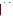Optical Open-Path Monitors Test/QA Plan Revision 1 Date: 10/28/99 Page: 11 of 67

The verification test will be performed by Battelle with the participation of EPA and the vendors whose optical open-path monitors will be verified. The organizational chart in Figure 1 shows the individuals from Battelle, the vendor companies, and EPA who will have responsibilities in the verification test. The specific responsibilities of these individuals are detailed below.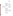Optical Open-Path Monitors Test/QA Plan Revision 1 Date: 10/28/99 Page: 12 of 67

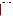Optical Open-Path Monitors Test/QA Plan Revision 1 Date: 10/28/99 Page: 13 of 67

# **Figure 1. Organizational Chart for Optical Open-Path Monitor Verification Test**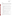Optical Open-Path Monitors Test/QA Plan Revision 1 Date: 10/28/99 Page: 14 of 67

# **3.2.1 Battelle**

Mr. Jeffrey D. Myers is the Verification Test Coordinator for the testing of optical open-path monitors through the AMS pilot. In this role, Mr. Myers will have the overall responsibility for ensuring that the technical, scheduling, and cost goals established for the verification test are met. Mr. Myers will:

- Prepare the draft test/QA plan, verification reports, and verification statements
- Revise the draft test/QA plan, verification reports, and verification statements inresponse to reviewers' comments
- Assemble the requisite equipment and a team of qualified technical staff to conduct the verification test
- Direct the team in performing the verification test in accordance with the test/QA plan
- Coordinate distribution of the final test/QA plan, verification reports and verification statements
- Ensure that all quality procedures specified in the test/QA plan and in the QMP are followed
- Respond to any issues raised in assessment reports and audits, including instituting corrective action as necessary
- Serve as the primary point of contact for vendor representatives
- Establish a budget for the verification test and monitor staff effort to ensure that the budget is not exceeded
- Ensure that confidentiality of vendor information is maintained.

Dr. Thomas J. Kelly is the Verification Testing Leader for the AMS pilot. As such, Dr. Kelly will provide technical guidance and oversee the various stages of the verification test. He will: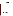Optical Open-Path Monitors Test/QA Plan Revision 1 Date: 10/28/99 Page: 15 of 67

- Support Mr. Myers in preparing the test/QA plan and organizing the test
- Review the draft test/QA plan
- Review the draft verification reports and verification statements
- Ensure that vendor confidentiality is maintained.

Ms. Karen Riggs is Battelle's ETV pilot manager. As such, Ms. Riggs will:

- Review the draft test/QA plan
- Review the draft verification reports and verification statements
- Ensure that necessary Battelle resources, including staff and facilities, are committed to the verification test
- Ensure that vendor confidentiality is maintained
- Support Mr. Myers in responding to any issues raised in audits
- Maintain communication with EPA's Pilot Manager.

Ms. Sandy Anderson will serve as the Quality Manager for this verification test. As such Ms. Anderson or her designate will:

- Review the draft test/QA plan
- Conduct a technical system audit once during the verification test
- Review performance evaluation audit results as specified in the test/QA plan
- Audit at least 10% of the verification data
- Prepare and distribute an assessment report for each audit
- Verify implementation of any necessary corrective action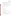Optical Open-Path Monitors Test/QA Plan Revision 1 Date: 10/28/99 Page: 16 of 67

- Issue a stop work order if self audits indicate that data quality is being compromised; notify Battelle Pilot Manager if stop work order is issued
- Provide a summary of the QA/QC activities and results for the verification reports
- Review the draft verification reports and statements
- Have overall responsibility for ensuring that the test/QA plan and AMS pilot QMP is followed
- Ensure that Battelle management is informed if persistent quality problems are not corrected
- Maintain communication with EPA's Pilot Quality Manager

# **3.2.2 Vendors**

Vendor representatives will:

- Review the draft test/QA plan
- Approve the revised test/QA plan
- Provide of the-shelf models of the optical open-path monitors to be verified for the duration of the verification test
- Host verification testing of their monitors at their respective facilities, or send monitor and personnel to Battelle to conduct test
- Install the test equipment and open-path monitor in the test facilities and ensure proper operation of the open-path monitor before and during the test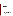- Perform on-site maintenance as necessary if monitor fails any time during the test
- Review their respective draft verification reports and statements
- Provide measurement results from the verification test to Battelle in a readily accessible and previously agreed upon format
- Provide and operate the open-path monitor during testing
- Provide sample gas cell appropriate for the monitor being tested
- If test is performed at Battelle, remove and ship monitor from Battelle upon completion of test

## **3.2.3 EPA**

EPA's responsibilities in the AMS pilot are based on the requirements stated in the "Environmental Technology Verification Program Quality and Management Plan of the Pilot Period (1995-2000)" (QMP). The roles of the specific EPA staff are as follows:

Ms. Elizabeth Betz is EPA's Pilot Quality Manager. For the verification test, Ms. Betz will:

- Review the draft test/QA plan
- Perform, at her option, one external technical system audit during the verification test
- Notify the Battelle Pilot Manager to facilitate a stop work order if external audit indicates that data quality is being compromised
- Prepare and distribute an assessment report summarizing results of external audit, if performed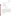Optical Open-Path Monitors Test/QA Plan Revision 1 Date: 10/28/99 Page: 18 of 67

• Review draft verification reports and statements.

Mr. Robert Fuerst is EPA's Pilot Manager. As such, Mr. Fuerst will:

- Review the draft test/QA plan
- Approve the final test/QA plan
- Review the draft verification reports
- Approve the final verification reports
- Review the draft verification statements.

## **4. EXPERIMENTAL DESIGN**

#### **4.1. Overview**

The verification test outlined in this document is designed to challenge the monitors being verified in a manner similar to that which would be experienced in operation in the field. Reproducing many of the actual conditions and problems encountered in the field is beyond the scope of this project, however this verification test establishes benchmarks that provide quantitative data on specific performance parameters. The basic theory used throughout these tests involves challenging the monitors using an optically transparent gas cell that is filled with known concentrations of a target gas. The gas cell is inserted into the optical path of the monitor thereby simulating a condition where the target gas would be present in the ambient air. The gas cell is used to challenge the monitor in a controlled and uniform manner.

#### **4.2. General Experimental Approach**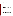Optical Open-Path Monitors Test/QA Plan Revision 1 Date: 10/28/99 Page: 19 of 67

This verification test is intended to be applicable to many types of open-path monitors. As such, the general approach is deliberately broad, allowing specific protocols for a technology type to be specified in the Test Procedures section. In general, the experimental approach employed in this test assumes that the monitor operates by sending a beam of radiation from a source, through the atmosphere, and to a detector. Then, measuring the absorption of the light by the target gas in the atmosphere, the monitor is able to identify and quantify the target gas or gases. The same basic technique is used to verify each of the technology types as each of the monitors is challenged with several target gases at known concentrations, and the measurement result from the monitor is then compared to the known concentration of the target gas. Since these open-path monitors are often able to measure many different types of gases it is not feasible to test all potential target gases. As a result, in this verification test only a few target gases have been chosen. For each target gas the monitor is set up as it would be if it were operating in the field, with the exception that an optically transparent gas cell is placed in the light beam's path if the instrument does not already have a built-in gas reference cell. A known concentration of the target gas is then introduced into the gas cell and the monitor makes a measurement. Figure 2 shows a schematic of the setup to be used for the test. The optical open-path monitor and the gas cell will be provided by the vendor. The gas dilution system will be provided by Battelle. This system consists of National Institute of Standards and Technology (NIST) traceable commercially certified standard gases, a calibrated gas diluter, and a supply of certified high purity dilution gas. All of the test equipment used to evaluate the monitors will be provided by Battelle to ensure that the testing is conducted in a repeatable manner regardless of the test location. When testing is performed at a site other than Battelle, all appropriate equipment will be transported to the test site.

The test procedures involve providing a range of known concentrations of various target gases to each monitor. Measurements are made with different path lengths, integration times, source intensities, and numbers of replicate measurements to assess the verification parameters listed in Section 3.1. The test procedures are 'nested', in that each measurement is used for the evaluation of more than one verification parameter. To the extent feasible with so diverse a group of technologies, verification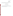Optical Open-Path Monitors Test/QA Plan Revision 1 Date: 10/28/99 Page: 20 of 67

test procedures rely on established procedures, such as EPA Method TO-16.<sup>2</sup> This method was developed to provide guidelines for gathering and analyzing data using an FTIR.

# **5. TEST PROCEDURES**

# **5.1. General Procedural Description**

The procedures to be used in the verification test are detailed in this section. This test procedure section is divided into three sub sections - FTIR, TDL, and UV - each outlining the specific test procedures required for a particular technology type.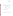Optical Open-Path Monitors Test/QA Plan Revision 1 Date: 10/28/99 Page: 21 of 67



**Figure 2. Schematic Showing Functional System and Setup for Verification Tests**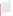Optical Open-Path Monitors Test/QA Plan Revision 1 Date: 10/28/99 Page: 22 of 67

The procedures detailed in this section can be carried out for many different target gases. In an effort to be as efficient as possible with both time and materials a specific order of measurements has been established which allows many of the verification parameters to be determined in as short a period as possible. Table 1 shows the measurement order and the

verification parameters associated with each measurement. The "Activity #" column provides a reference number for each activity during the test. This allows for easy reference later in the test plan. The "Meas. #" column is listed to show the number of times spectra are recorded. "Ref. Cell Conc." describes the contents of the reference gas cell during the data acquisition. In these measurements, the content of the gas cell is either "N2" (nitrogen dilution gas), or a known concentration of the target gas "c1" through "c4". Concentrations shown as c1, c2, etc. represent the target gas concentrations specified later in this section for each technology type. The "Activity" column explains the activity taking place: collecting spectra, changing gases, or adjusting the pathlength. Several measurements are made (Meas. #3 through #5 and #10 through #12) using an inserted neutral density (ND) filter which allows the source strength (i.e. light intensity) to be varied in a controlled and repeatable manner. The "# of Spectra" column explains how many individual spectra are collected at that experimental condition. The "Integrate Time" column is the integration time to be used for that measurement and "Equilibrate Time" expresses the length of time allowed to flow gas through the cell in order to obtain a stable measurement from the monitor. "Pathlength" is the total length the beam will travel between the source and the detector. This is not the length of the gas cell used in these experiments. From the "Elapsed Time" column it can be seen that the test will require about 8.25 hours for the first gas. The subsequent gases take an half an hour less since the replicate tests for the ND filter are not conducted. The "Verification Parameter Calculated" column relates each measurement to the verification parameters that will eventually be calculated.

#### **5.2. Schedule**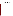Optical Open-Path Monitors Test/QA Plan Revision 1 Date: 10/28/99 Page: 23 of 67

The verification will be conducted by performing measurements in a fixed sequence. The monitor provided by the vendor will undergo that full test sequence. It is anticipated that the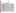Optical Open-Path Monitors Test/QA Plan Revision 1 Date: 10/28/99 Page: 24 of 67

# **Table 1. Optical Open-Path Monitor Verification Measurement Order for a Single Gas**

|                 |                 | <b>Activity Meas Ref. Cell</b> | <b>Activity</b>        | # of            |                | Times                       | Pathlength | <b>Elapsed</b>   | <b>Verification Parameter</b>                      |
|-----------------|-----------------|--------------------------------|------------------------|-----------------|----------------|-----------------------------|------------|------------------|----------------------------------------------------|
| #               | #               | Conc.                          |                        |                 | e              | Spectra Integrat Equilibrat | (m)        | Time (hrs)       | <b>Calculated</b>                                  |
| 1               |                 | N2                             | Change gas & stabilize |                 |                | 10                          | 100        | 1/4              |                                                    |
| 2               |                 | $\overline{N2}$                | Collect spectra        | 26              |                |                             | 100        | 2/4              | Accuracy., Concentration linearity, MDL, Precision |
| 3               |                 | c <sub>1</sub>                 | Change gas & stabilize |                 |                | 10                          | 100        | $\overline{3}/4$ |                                                    |
| 4               | 2               | $\overline{c}$ 1               | Collect spectra        | 5               |                |                             | 100        | 3/4              | Acc., Concentration linearity                      |
| 5               | 3               | c <sub>1</sub>                 | Collect spectra - ND 1 | 5               |                |                             | 100        |                  | Source strength linearity                          |
| 6               | 4               | $\overline{c1}$                | Collect spectra - ND 2 | $\overline{5}$  | $\overline{1}$ |                             | 100        | $\overline{1}$   | Source strength linearity                          |
|                 | 5               | c <sub>1</sub>                 | Collect spectra - ND 3 | 5               |                |                             | 100        |                  | Source strength linearity                          |
| 8               |                 | N2                             | Change gas & stabilize |                 |                | 10                          | 100        | 11/4             |                                                    |
| 9               | 6               | N <sub>2</sub>                 | Collect spectra        | 5               | $\mathbf 1$    |                             | 100        | 11/4             | Acc., Concentration linearity                      |
| 10              |                 | c2                             | Change gas & stabilize |                 |                | 10                          | 100        | 12/4             |                                                    |
| $\overline{11}$ |                 | c2                             | Collect spectra        | 5               | 1              |                             | 100        | 12/4             | Acc., Concentration linearity                      |
| 12              |                 | $\overline{5}$                 | Change gas & stabilize |                 |                | 10                          | 100        | 13/4             |                                                    |
| 13              | 8               | N <sub>2</sub>                 | Collect spectra        | 5               | -1             |                             | 100        | 13/4             | Acc., Concentration linearity                      |
| 14              |                 | c3                             | Change gas & stabilize |                 |                | 10                          | 100        | $\overline{2}$   |                                                    |
| 15              | 9               | c3                             | Collect spectra        | 5               |                |                             | 100        | 2                | Acc., Concentration linearity                      |
| 16              | 10              | c3                             | Collect spectra - ND 1 | 5               |                |                             | 100        | 21/4             | Source strength linearity                          |
| 17              | -11             | c3                             | Collect spectra - ND 2 | 5               | 1              |                             | 100        | 21/4             | Source strength linearity                          |
| 18              | 12              | c3                             | Collect spectra - ND 3 | 5               | $\overline{1}$ |                             | 100        | 21/4             | Source strength linearity                          |
| 19              |                 | N <sub>2</sub>                 | Change gas & stabilize |                 |                | 10                          | 100        | 22/4             |                                                    |
| 20              | 13              | N2                             | Collect spectra        | 5               | 1              |                             | 100        | 22/4             | Acc., Concentration linearity                      |
| 21              |                 | c4                             | Change gas & stabilize |                 |                | 10                          | 100        | 23/4             |                                                    |
| 22              | 14              | c4                             | Collect spectra        | 26              |                |                             | 100        | 23/4             | Acc., Concentration linearity, MDL, Precision      |
| 23              |                 | N <sub>2</sub>                 | Change gas & stabilize |                 |                | 10                          | 100        | 3                |                                                    |
| 24              | $\overline{15}$ | N2                             | Collect spectra        | 26              | $\overline{5}$ |                             | 100        | 51/4             | Acc., Concentration linearity, MDL, Precision      |
| 25              |                 |                                | Change to Pathlength 2 |                 |                | 20                          | 400        | 52/4             |                                                    |
| 26              | 16              | N <sub>2</sub>                 | Collect spectra        | 5               | 5              |                             | 400        | 6                | Interference Effect (Int.)                         |
| 27              |                 | c2                             | Change gas & stabilize |                 |                | 10                          | 400        | 6                |                                                    |
| 28              | 17              | c2                             | Collect spectra        | 5               | 5              |                             | 400        | 62/4             | Int., Acc., Concentration linearity                |
| 29              |                 | N <sub>2</sub>                 | Change gas & stabilize |                 |                | 10                          | 400        | 6 3/4            |                                                    |
| 30              | 18              | N <sub>2</sub>                 | Collect spectra        | 5               | 5              |                             | 400        |                  | Int., Acc., Concentration linearity                |
| 31              |                 |                                | Change to Pathlength 3 |                 |                | 20                          | optimum    | 7 2/4            |                                                    |
| 32              | 19              | N <sub>2</sub>                 | Collect spectra        | $5\overline{)}$ | 1              |                             | optimum    | 7 2/4            | Int., Acc., Concentration linearity                |
| 33              |                 | c2                             | Change gas & stabilize |                 |                | 10                          | optimum    | 73/4             |                                                    |
| 34              | -20             | c2                             | Collect spectra        | 5               |                |                             | optimum    | 7 3/4            | Int., Acc., Concentration linearity                |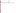Optical Open-Path Monitors Test/QA Plan Revision 1 Date: 10/28/99 Page: 25 of 67

| <u>_</u><br>ີ |        | $-$<br>NĽ | "hange gas a<br>& stabilize<br>້ |    | 16 | optimum |             |                                |
|---------------|--------|-----------|----------------------------------|----|----|---------|-------------|--------------------------------|
| $\sim$<br>-36 | $\sim$ | .<br>NĽ   | ct spectra<br>יהווהי<br>⊃∪⊪u     | 'n |    | optimum | 17 L<br>. . | n. MDL<br>Precision<br>11 IU., |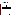Optical Open-Path Monitors Test/QA Plan Revision 1 Date: 10/28/99 Page: 26 of 67

testing will take place over three days, with a day for set up and a day for teardown. An example schedule of testing a single monitor is shown in Table 2.

| Activity #                 | Day   | Gas   | <b>Approximate Time</b> |
|----------------------------|-------|-------|-------------------------|
| <b>Travel and Setup</b>    | One   |       | 1 day                   |
| $1 - 24$                   | Two   | One   | 08:00-13:00             |
| $25 - 36$                  | Two   | One   | 14:00-18:00             |
| $1 - 24$                   | Three | Two   | 08:00-12:00             |
| $25 - 36$                  | Three | Two   | 13:00-17:00             |
| $1 - 24$                   | Four  | Three | 08:00-12:00             |
| $25 - 36$                  | Four  | Three | 13:00-17:00             |
| <b>Teardown and Travel</b> | Five  |       | 1 day                   |

#### **Table 2. Schedule of Verification Testing Activities**

# **5.3. FTIR**

#### **5.3.1 Gases**

The gases and concentrations to be used for testing FTIR open-path monitors are shown in Table 3.

#### **5.3.2. Minimum Detection Limit**

The minimum detection limit (MDL) is to be determined for each target gas. This number represents the lowest obtainable value for the detection of that specific gas. The MDL is calculated by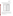Optical Open-Path Monitors Test/QA Plan Revision 1 Date: 10/28/99 Page: 27 of 67

removing the target gas from the optical path of the monitor, then a series of 26 single beam spectra are taken using the appropriate averaging time (either 1 min. or 5 min.). The

**Table 3. Target Gases for Verification Testing of FTIR Open-Path Monitors** 

| Gas                 |    | <b>Concentration</b> |  |  |  |  |
|---------------------|----|----------------------|--|--|--|--|
|                     |    | Pathlength (ppm-m)   |  |  |  |  |
|                     | c1 | 5                    |  |  |  |  |
| Tetrachloroethylene | c2 | 10                   |  |  |  |  |
|                     | c3 | 25                   |  |  |  |  |
|                     | c4 | 50                   |  |  |  |  |
|                     | c1 | 5                    |  |  |  |  |
| Cyclohexane         | c2 | 10                   |  |  |  |  |
|                     | c3 | 25                   |  |  |  |  |
|                     | c4 | 50                   |  |  |  |  |
|                     | c1 | 5                    |  |  |  |  |
| Ethylene            | c2 | 10                   |  |  |  |  |
|                     | c3 | 25                   |  |  |  |  |
|                     | c4 | 50                   |  |  |  |  |

single beam spectra are then used to create absorption spectra, using each single beam spectrum as the background for the next spectrum. The absorption spectra are created by using the first and second single beam spectra, the second and third, the third and fourth, etc. The resulting 25 absorption spectra are then analyzed for the target gas. The minimum detection limit is defined as two times the standard deviation of the calculated concentrations.

The procedure for determining MDL is as follows: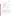Optical Open-Path Monitors Test/QA Plan Revision 1 Date: 10/28/99 Page: 28 of 67

- 1. Remove the target gas from the optical path of the monitor
- 2. Choose appropriate averaging time for the monitor
- 3. Acquire 26 single beam spectra
- 4. Use first single beam spectrum as a background to create absorption spectrum from the second single beam spectrum
- 5. Use second single beam spectrum as a background to create absorption spectrum from the third single beam spectrum
- 6. Continue until 25 absorbance spectra are obtained
- 7. Analyze each absorption spectrum to determine the concentration of the target gas
- 8. Calculate the standard deviation of the set of concentrations
- 9. Multiply the standard deviation by two to obtain the minimum detection limit.

#### **5.3.3 Linearity**

Two types of linearity will be evaluated. The first will be the linearity of the monitor for a specific gas over a range of concentrations. The second will be the linearity of the monitor as a series of neutral density filters are inserted into the beam path. This second evaluation of linearity is designed to simulate a reduction in source intensity and to measure the effect this intensity reduction has on the monitor's ability to maintain linear response.

Determining the concentration linearity of the monitor requires challenging the monitor with a target gas at several concentration levels. At each of these concentrations, a single beam spectrum is acquired.

The procedure for determining concentration linearity is as follows: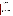Optical Open-Path Monitors Test/QA Plan Revision 1 Date: 10/28/99 Page: 29 of 67

- 1. Place the target gas cell in the optical path of the monitor
- 2. Set up dilution system to provide the target gas to the gas cell by dilution of a certified gas standard for each gas of interest
- 3. Perform dilutions with high purity nitrogen
- 4. Provide diluent gas or a prepared dilution of the target gas to the gas cell
- 5. Choose appropriate averaging time for the monitor
- 6. After at least five cell volumes of the gas have passed through the cell, acquire a single beam spectrum
- 7. Record the concentration value given by the monitor
- 8. Flush cell with at least five volumes of high purity nitrogen, and again acquire a single beam spectrum
- 9. Repeat steps 4-6 with next concentration of the target gas.

The source strength linearity will be evaluated at two concentrations for each gas using three neutral density (ND) filters placed in the beam path. These three neutral density filters will be used to determine the monitor's ability to maintain a linear response with an attenuated source. These filters will attenuate the source strength by approximately 10%, 25%, and 50%. The procedure for this evaluation is identical to the steps 1 through 7 above except that one of the ND filters is placed in the optical path.

#### **5.3.4 Accuracy**

Accuracy of the monitors relative to the gas standards will be verified by introducing known concentrations of the target gas into the cell. The gas cell is flushed with at least five cell volumes of nitrogen and a single beam spectrum is recorded. The target gas is then introduced into the cell and after flushing with at least five cell volumes a single beam spectrum of the target gas is obtained. The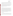Optical Open-Path Monitors Test/QA Plan Revision 1 Date: 10/28/99 Page: 30 of 67

cell is flushed with at least five cell volumes of nitrogen and a third spectrum is recorded. The three spectra are analyzed for the target gas using the background selected by the vendor. The concentration of the target gas is the result of analyzing the second spectrum minus the average of the first and third (flushed cell) spectra.

The accuracy is evaluated at concentrations c1 through c4 using an integration time of 1 minute. The accuracy is then evaluated at concentrations c2 using a longer integration time, and then again at a concentration of c2 during the interference measurements (Activity #26 through 34). The percent accuracy is the average value of all the measurements at the same conditions divided by the concentration of the gas in the reference cell times 100.

#### **5.3.5 Precision**

The precision of the monitor is a quantification of its ability to make repeatable measurements when challenged with the same gas sample. The procedure for the determination of precision is essentially identical to the procedure for the determination of accuracy. The gas cell is flushed with at least five volumes of nitrogen. The target gas is then introduced into the cell and after flushing with at least five cell volumes 25 single beam spectra of the target gas are obtained. These spectra are analyzed for the target gas. The relative standard deviation of this set of measurements is the precision at the target gas concentration. Precision is evaluated by this procedure at two different concentrations of each of the target gases (see Table 1). Additional precision information will be obtained from the replicate analysis conducted in the interference test (Section 5.3.6).

#### **5.3.6. Interferences**

The effects of interfering gases will be established by supplying the reference cell with a target gas and varying the distance between the source and detector of the monitor. The main interferences in ambient air are  $H_2O$  and  $CO_2$  and if the measurements are made outdoors, changing the pathlength will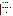Optical Open-Path Monitors Test/QA Plan Revision 1 Date: 10/28/99 Page: 31 of 67

effectively change the amount of interferents in the measurement. The purpose of the interference measurements (Activity # 26 through 34 in Table 1) is to determine the effects that the interfering gases have on accuracy, precision, and MDL. These tests are performed using two different integration times to determine the effect that integration time has on the monitor's ability to make measurements with interfering gases in the light path.

The effect of the interferences will be measured by setting up the monitor outdoors, or in an area where the light path passes through ambient air levels of  $H_2O$  and  $CO_2$  that are consistent with those outdoors as measured by a relative humidity monitor and a  $CO<sub>2</sub>$  monitor (for example, in an airplane hangar). First, the pathlength will be changed to approximately 400 meters. Then, the reference cell will be supplied with nitrogen, and after flushing with at least five cell volumes, 5 single beam spectra will be recorded. Next, the target gas will be introduced into the cell and after similarly flushing the cell, 5 single beam spectra will be recorded. Finally, nitrogen will again be introduced into the cell and 5 spectra will be recorded.

Then the pathlength will be set to the length that the vendor chooses as optimum. This is the pathlength that would theoretically yield the best signal to noise ratio and the entire measurement procedure will be repeated. Atmospheric concentrations of  $H_2O$  and  $CO_2$  will be recorded at the beginning and the end of these measurements. The extent of interference will be calculated in terms of sensitivity of the monitor to the interferent. The relative sensitivity will be reported.

#### **5.4. Tuneable Diode Laser (TDL)**

#### **5.4.1.Gases**

The gases and concentrations to be used for testing TDL open-path monitors are shown in Table 4.

**Table 4. Gases for Verification Testing of TDL Open-Path Monitors**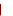Optical Open-Path Monitors Test/QA Plan Revision 1 Date: 10/28/99 Page: 32 of 67

| Gas             |    | <b>Concentration</b><br>Pathlength (ppm-m) |  |  |  |  |  |
|-----------------|----|--------------------------------------------|--|--|--|--|--|
|                 | c1 | 5                                          |  |  |  |  |  |
| NH <sub>3</sub> | c2 | 25                                         |  |  |  |  |  |
|                 | c3 | 50                                         |  |  |  |  |  |
|                 | c4 | 100                                        |  |  |  |  |  |
|                 | c1 | 25                                         |  |  |  |  |  |
| HF              | c2 | 50                                         |  |  |  |  |  |
|                 | c3 | 100                                        |  |  |  |  |  |
|                 | c4 | 500                                        |  |  |  |  |  |
|                 | c1 | 5                                          |  |  |  |  |  |
| Methane         | c2 | 25                                         |  |  |  |  |  |
|                 | c3 | 50                                         |  |  |  |  |  |
|                 | c4 | 100                                        |  |  |  |  |  |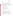Optical Open-Path Monitors Test/QA Plan Revision 1 Date: 10/28/99 Page: 33 of 67

#### **5.4.2. Minimum Detection Limit**

The minimum detection limit (MDL) is to be determined for each target gas. This number represents the lowest obtainable value for the detection of that specific gas. The MDL is calculated by removing the target gas from the optical path of the monitor, then a series of 25 measurements are taken using the appropriate averaging time (either 1 min. or 5 min.). The resulting values are then to be analyzed for the target gas. Two times the standard deviation of the calculated concentrations is defined as the minimum detection limit.

The procedure for determining the MDL is as follows:

- 1. Remove the target gas from the optical path of the monitor.
- 2. Choose appropriate averaging time for the monitor
- 3. Acquire 25 measurements
- 4. Analyze each absorption spectrum for the target gas.
- 5. Calculate the standard deviation of the set of concentrations.
- 6. Multiply the standard deviation by two to obtain the minimum detection limit.

#### **5.4.3 Linearity**

Two types of linearity will be evaluated. The first will be the linearity of the monitor for a specific gas over a range of concentrations. The second will be the linearity of the monitor as a series of neutral density filters are inserted into the beam path. This second evaluation of linearity is designed to simulate a reduction in source intensity and to measure the effect this intensity reduction has on the monitor's ability to maintain linear response.

Determining the concentration linearity of the monitor requires challenging the monitor with a target gas at several concentration levels. At each of these concentrations a measurement is made.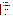Optical Open-Path Monitors Test/QA Plan Revision 1 Date: 10/28/99 Page: 34 of 67

The procedure for determining concentration linearity is as follows:

- 1. Place the target gas cell in the optical path of the monitor.
- 2. Set up dilution system to provide the calibration gas to the gas cell by dilution of a certified gas standard for each gas of interest
- 3. Perform dilutions with high purity nitrogen
- 4. Provide target gas or a prepared dilution of the target gas to the gas cell
- 5. Choose appropriate averaging time for the monitor
- 6. After at least five cell volumes of the gas have passed through the cell, make measurements
- 7. Record the concentration value given by the monitor
- 8. Flush cell with at least five volumes of high purity nitrogen, and again make a measurements
- 9. Repeat steps 4-6 with next concentration.

The source strength linearity will be evaluated at two concentrations for each gas using three neutral density (ND) filters placed in the beam path. These three neutral density filters will be used to determine the monitor's ability to maintain a linear response with an attenuated source. These filters will attenuate the source strength by approximately 10%, 25%, and 50%. The procedure for this evaluation is identical to steps 1 through 7 above except that one of the ND filters is placed in the optical path.

#### **5.4.4 Accuracy**

Accuracy of the monitors relative to the gas standards will be verified by introducing the target gas into the cell. The gas cell is flushed with at least five cell volumes of nitrogen and a measurement is recorded. The target gas is then introduced into the cell and after flushing with at least five cell volumes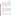Optical Open-Path Monitors Test/QA Plan Revision 1 Date: 10/28/99 Page: 35 of 67

a measurement of the target gas is obtained. The cell is flushed with at least five cell volumes of nitrogen and a third measurement is recorded. The three measurements are analyzed for the target gas using the background selected by the vendor. The concentration of the target gas is the result of analyzing the second measurement minus the average of the first and third (flushed cell) measurements.

The accuracy is evaluated at concentrations c1 through c4 using an integration time of 1 minute. The accuracy is then evaluated at concentrations c2 using a longer integration time, and then again at a concentration of c2 during the interference measurements (Activity #26 through 34). The percent accuracy is the average value of all the measurements at the same conditions divided by the concentration of the gas in the reference cell times 100.

#### **5.4.5 Precision**

The precision of the monitor is a quantification of its ability to make repeatable. measurements when challenged with the same gas sample. The procedure for the determination of precision is essentially identical to the procedure for the determination of accuracy. The gas cell is flushed with at least five volumes of nitrogen. The target gas is then introduced into the cell and after flushing with at least five cell volumes, 25 measurements of the target gas are obtained. The relative standard deviation of this set of concentrations is the precision at the target gas concentration. Precision is evaluated by this procedure at two different concentrations of each of the target gases (see Table 1). Additional precision information will be obtained from the replicate analysis conducted in the interference measurements (Section 5.4.6)

#### **5.4.6 Interferences**

The effects of interfering gases will be established by supplying the reference cell with a target gas and varying the distance between the source and detector of the monitor. The main interferences in ambient air are  $H_2O$  and  $CO_2$  and if the measurements are made outdoors, changing the pathlength will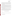US EPA ARCHIVE DOCUMENT

Optical Open-Path Monitors Test/QA Plan Revision 1 Date: 10/28/99 Page: 36 of 67

effectively change the amount of interferents in the measurement. The purpose of the interference measurements (#26 through 34 in Table 1) is to determine the effects that the interfering gases have on accuracy, precision, and MDL. These tests are performed using two different integration times to determine the effect that integration time has on the monitor's ability to make measurements with interfering gases in the light path.

The effect of the interferences will be measured by setting up the monitor outdoors, or in an area where the light path passes through ambient air levels of  $H_2O$  and  $CO_2$  that are consistent with those outdoors as measured by the relative humidity monitor and the  $CO<sub>2</sub>$  monitor (for example, in an airplane hangar). First, the pathlength will be changed to approximately 400 meters. Then, the reference cell will be supplied with nitrogen, and after flushing with at least five cell volumes, 5 single beam spectra will be recorded. Next, the target gas will be introduced into the cell and after similarly flushing the cell, 5 single beam spectra will be recorded. Finally, nitrogen will again be introduced into the cell and 5 spectra will be recorded.

Then the pathlength will be set to the length that the vendor chooses as optimum. This is the pathlength that would theoretically yield the best signal to noise ratio and the entire measurement procedure will be repeated. Atmospheric concentrations of  $H_2O$  and  $CO_2$  will be recorded at the beginning and the end of these measurements. The extent of interference will be calculated in terms of sensitivity of the monitor to the interferent. The relative sensitivity will be reported.

#### **5.5. Ultra Violet (UV) Open Path Monitors**

# **5.5.1 Gases**

The gases and concentrations to be used for testing UV open-path monitors are shown in Table 5.

#### **5.5.2 Minimum Detection Limit**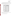Optical Open-Path Monitors Test/QA Plan Revision 1 Date: 10/28/99 Page: 37 of 67

The minimum detection limit (MDL) is to be determined for each target. This number represents the lowest obtainable value for the detection of that specific gas. The MDL is calculated by removing the target gas from the optical path of the monitor, then a series of 25 measurements are taken using the appropriate averaging time (either 1 min. or 5 min.). The

| Gas             |    | Concentration<br>Pathlength (ppm-m) |  |  |  |  |
|-----------------|----|-------------------------------------|--|--|--|--|
|                 | c1 | 3                                   |  |  |  |  |
| NH <sub>3</sub> | c2 | 6                                   |  |  |  |  |
|                 | c3 | 10                                  |  |  |  |  |
|                 | c4 | 20                                  |  |  |  |  |
|                 | c1 | $\sqrt{2}$                          |  |  |  |  |
| N <sub>O</sub>  | c2 | 5                                   |  |  |  |  |
|                 | c3 | 10                                  |  |  |  |  |
|                 | c4 | 15                                  |  |  |  |  |
| Benzene         | c1 | $\mathbf{2}$                        |  |  |  |  |
|                 | c2 | 3                                   |  |  |  |  |
|                 | c3 | 5                                   |  |  |  |  |
|                 | c4 | 10                                  |  |  |  |  |

**Table 5. Gases for Verification Testing of UV Open-Path Monitors** 

resulting values are then to be analyzed for the target gas. Two times the standard deviation of the calculated concentrations is defined as the minimum detection limit.

The procedure for determining MDL is as follows: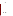Optical Open-Path Monitors Test/QA Plan Revision 1 Date: 10/28/99 Page: 38 of 67

- 1. Remove the target gas from the optical path of the monitor
- 2. Choose appropriate averaging time for the monitor
- 3. Acquire 25 measurements
- 4. Analyze each measurement for the target gas
- 5. Calculate the standard deviation of the set of measurements
- 6. Multiply the standard deviation by two to obtain the minimum detection limit.

Additional MDL information will be obtained from the replicate analysis conducted in the interference measurement (Section 5.5.6).

#### **5.5.3 Linearity**

Two types of linearity will be evaluated. The first will be the linearity of the monitor for a specific gas over a range of concentrations. The second will be the linearity of the monitor as a series of neutral density filters are inserted into the beam path. This second evaluation of linearity is designed to simulate a reduction in source intensity and to measure the effect this intensity reduction has on the monitor's ability to maintain linear response.

Determining the concentration linearity of the monitor requires challenging the monitor with a target gas at several concentration levels. At each of these concentrations, a measurement is made.

The procedure for determining concentration linearity is as follows:

- 1. Place the gas cell in the optical path of the monitor
- 2. Set up dilution system to provide the calibration gas to the gas cell by dilution of a certified gas standard for each gas of interest
- 3. Perform dilutions with high purity nitrogen
- 4. Provide target gas or a prepared dilution of the target gas to the gas cell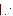Optical Open-Path Monitors Test/QA Plan Revision 1 Date: 10/28/99 Page: 39 of 67

- 5. Choose appropriate averaging time for the monitor
- 6. After five cell volumes of the gas have passed through the cell, make a measurement
- 7. Record the concentration value given by the monitor
- 8. Flush cell with five volumes of high purity nitrogen, and again make a measurement
- 9. Repeat with next concentration
- 10. Repeat steps 4-6 with next concentration.

The source intensity linearity will be evaluated at two concentrations for each gas using three neutral density (ND) filters placed in the beam path. These three neutral density filters will be used to determine the monitor's ability to maintain a linear response with an attenuated source. These filters will attenuate the source strength by approximately 10%, 25%, and 50%. The procedure for this evaluation is identical to the steps 1 through 7 above except that one of the ND filters is placed in the optical path.

#### **5.5.4 Accuracy**

Accuracy of the monitors relative to the gas standards will be verified by introducing the target gas into the cell. The gas cell is flushed with at least five cell volumes of nitrogen and a measurement is recorded. The target gas is then introduced into the cell and after flushing with at least five cell volumes a measurement of the target gas is obtained. The cell is flushed with at least five cell volumes of nitrogen and a third measurement is recorded. The three measurements are analyzed for the target gas using the background selected by the vendor. The concentration of the target gas is the result of analyzing the second measurement minus the average of the first and third (flushed cell) measurements.

The accuracy is evaluated at concentrations c1 through c4 using an integration time of 1 minute. The accuracy is then evaluated at concentrations c2 using a longer integration time, and then again at a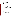Optical Open-Path Monitors Test/QA Plan Revision 1 Date: 10/28/99 Page: 40 of 67

concentration of c2 during the interference measurements (Activity #26 through 34). The percent accuracy is the average value of all the measurements at the same conditions divided by the concentration of the gas in the reference cell times 100.

#### **5.5.5 Precision**

The precision of the monitor is a quantification of its ability to make repeatable. measurements when challenged with the same gas sample. The procedure for the determination of precision is essentially identical to the procedure for the determination of accuracy. The gas cell is flushed with at least five volumes of nitrogen. The target gas is then introduced into the cell and after flushing with at least five cell volumes, 25 measurements of the target gas are obtained. The relative standard deviation of this set of concentrations is the precision at the target gas concentration. Precision is evaluated by this procedure at two different concentrations of each of the target gases (see Table 1). Additional precision information will be obtained from the replicate analysis conducted in the interference measurements (Section 5.5.6)

#### **5.5.6 Interferences**

The effects of interfering gases will be established by supplying the reference cell with a target gas and varying the distance between the source and detector (pathlength) of the monitor. The main interferences in ambient air are  $O_2$  and  $O_3$  and if the measurements are made outdoors, changing the pathlength will effectively change the amount of interferents in the measurement. The purpose of the interference measurements (#26 through 34 in Table1.) is to determine the effects that the interfering gases have on the accuracy, precision and MDL. These tests are performed using two different integration times to determine the effect that integration time has on the monitor's ability to make measurements with interfering gases in the light path.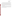Optical Open-Path Monitors Test/QA Plan Revision 1 Date: 10/28/99 Page: 41 of 67

The effect of the interferences will be measured by setting up the monitor outdoors, or in an area where the ambient levels of  $O_2$  and  $O_3$  that are consistent with those outdoors as measured by the  $O_2$  and  $O_3$  monitors. First, the pathlength will be changed to approximately 400 meters. Then, the reference cell will be supplied with nitrogen, and after flushing with at least five cell volumes, 5 measurements will be recorded. Next, the target gas will be introduced into the cell and after similarly flushing the cell, 5 measurements will be recorded. Finally, the cell will be flushed again and 5 more spectra will be recorded. Atmospheric concentrations of  $O_2$  and  $O_3$  will be recorded at the beginning and the end of these measurements.

Then pathlength will be set to the length that the vendor chooses as optimum, the pathlength that would theoretically yield the best signal to noise ratio, and the entire measurement procedure will be repeated. The extent of interference will be calculated in terms of sensitivity of the monitor to the interferent. The relative sensitivity will be reported.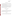Optical Open-Path Monitors Test/QA Plan Revision 1 Date: 10/28/99 Page: 42 of 67

## **6. SITE DESCRIPTION**

Under this test/QA plan, the verification of each monitor will occur at Battelle's Columbus facilities or at a location near the vendor's establishment. If the test is to be performed at the vendor's location, the specific test site will be identified by the vendor and reviewed with Battelle prior to Battelle staff traveling to the vendor's location to initiate the test.

At either location, the test site will be outside in an open field or parcel of land where a line of sight is available that meets the maximum pathlength required (400 m). The site needs to be away from local sources of emissions and yet easily accessible and able to be reached conveniently throughout the test period. If the test site has limited access, the host (either Battelle or the vendor) must take appropriate arrangements to ensure that all non-host staff have access. Sufficient lighting must be available in the event that the test runs into the evening.

# **7. MATERIALS AND EQUIPMENT**

#### **7.1. Standard Gases**

The standard gases diluted to produce target gas levels for the verification testing shall be NIST traceable gases when possible. Alternatively, commercially certified gas will be used if NIST traceable gases are not available for a particular analyte. The gases will be obtained in concentrations appropriate for dilution to the concentrations required for the tests.

#### **7.2. Dilution Gas**

The dilution gas for the verification testing will be high purity nitrogen and will be supplied by Battelle. The dilution gas must have the following specifications: Acid Rain CEM Zero Nitrogen or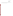Optical Open-Path Monitors Test/QA Plan Revision 1 Date: 10/28/99 Page: 43 of 67

equivalent (i.e. having the following purity specifications: total hydrocarbons,  $SO_2$  and  $NO_x < 0.1$  ppm, CO and  $O_2$ , <0.5 ppm,  $CO_2$  <1 ppm, and water <5 ppm).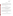Optical Open-Path Monitors Test/QA Plan Revision 1 Date: 10/28/99 Page: 44 of 67

#### **7.3. Dilution System**

The dilution system used for preparation of the target gases must have mass flow capabilities with an accuracy of approximately  $\pm 1$  percent. The dilution system must be capable of accepting a flow of compressed gas standard and diluting it with high purity nitrogen or air. It must be able to perform dilution ratios from 1:1 to at least 100:1. The dilution system may be commercially available or assembled from separate commercial components.

#### **7.4. Temperature Sensor**

The temperature sensor used to monitor the ambient air and test cell temperatures will be a thermocouple with a commercial digital temperature readout. This sensor will be operated in accordance with the manufacturer's instructions, and must have been calibrated against a certified temperature measurement standard within the six months preceding the verification test.

#### **7.5. Relative Humidity (RH) Sensor**

The RH sensor used to determine the ambient air humidity will be a commercial RH/Dew Point monitor that uses the chilled mirror principle. This sensor will be operated in accordance with the manufacturer's instructions, which call for cleaning of the mirror and re-balancing of the optical path when necessary, as indicated by the diagnostic display of the monitor. The manufacturer's accuracy specification of this monitor must be approximately  $+/-5$  percent RH.

#### **7.6. Oxygen Sensor**

A commercial electrochemical oxygen sensor will be used to measure the oxygen content of the ambient air during interference measurements. The sensor will be operated according to the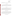Optical Open-Path Monitors Test/QA Plan Revision 1 Date: 10/28/99 Page: 45 of 67

manufacturer's directions, which call for zeroing with nitrogen and calibrating with ambient air (i.e., oxygen content of 20.9 percent).

#### **7.7. Carbon Dioxide Sensor**

A commercial non-dispersive infrared (NDIR) instrument will be used to monitor the level of  $CO<sub>2</sub>$  in ambient air during interference measurements. This sensor will be operated in accordance with the manufacturer's instructions, and will be calibrated with a commercially prepared cylinder standard of  $CO<sub>2</sub>$  in air.

#### **7.8. Ozone Sensor**

The sensor used to determine ozone in ambient air will be a commercial UV absorption monitor designated by U.S. EPA as an Equivalent Method for this measurement. The UV absorption method is preferred for this application over the Reference Method (which is based on ethylene chemiluminescence) because the UV method is inherently calibrated, and requires no reagent gases or calibration standards. This sensor will be operated in accordance with the manufacturer's instructions.

#### **7.9. Monitor for NO and NH3**

The concentrations of  $NO$  and  $NH<sub>3</sub>$  prepared by the dilution system during testing will be checked using a commercial EPA Reference chemiluminescent NO/NOx monitor, equipped with a high temperature converter for reduction of  $NH<sub>3</sub>$  to NO for detection. The monitor and converter will be operated according to the manufacturer's instructions, and the conversion efficiency of the  $NH<sub>3</sub>$ converter will be determined in the laboratory before each use in verification testing.

#### **7.10. Carbon Monoxide Sensor**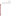Optical Open-Path Monitors Test/QA Plan Revision 1 Date: 10/28/99 Page: 46 of 67

A commercial non-dispersive infrared (NDIR) instrument will be used to monitor the level of CO in ambient air during interference measurements. This sensor will be operated in accordance with the manufacturer's instructions, and will be calibrated with a commercially prepared cylinder standard of CO in air.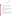Optical Open-Path Monitors Test/QA Plan Revision 1 Date: 10/28/99 Page: 47 of 67

# **8. QUALITY ASSURANCE/QUALITY CONTROL**

#### **8.1. Calibration**

#### **8.1.1 Gas Dilution System**

The gas dilution system will be the responsibility of Battelle. Flow controllers in this system must be calibrated prior to the start of the verification test for each monitor by means of a soap bubble flow meter. Corrections will be applied to the bubble meter data for temperature and water content.

#### **8.1.2 Temperature Sensor**

The thermocouple calibration will be based upon its comparison to a certified standard within the six months preceding the test. The accuracy of the thermocouple will also be checked at least once during verification testing, by comparison to a standard mercury-in-glass type thermometer. Agreement within 3°C is required, or the thermocouple will be replaced. That comparison will be conducted as part of the Performance Evaluation Audit procedure in Section 8.2.2.

#### **8.1.3 Relative Humidity (RH) Sensor**

The relative humidity sensor will be operated according to the manufacturer's directions, and will employ the manufacturer's calibration. The accuracy of the monitor for RH will also be checked at least once during verification testing for each monitor, by comparison to a standard wet/dry bulb measurement. Accuracy within +/- 5 percent RH is required, or the calibration of the monitor will be adjusted. That comparison will be conducted as part of the Performance Evaluation Audits in Section 8.2.2.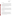Optical Open-Path Monitors Test/QA Plan Revision 1 Date: 10/28/99 Page: 48 of 67

#### **8.1.4 Oxygen Sensor**

The oxygen monitor will be calibrated on each day of use by zeroing with high purity nitrogen and calibrating with ambient air (i.e., 20.9 percent  $O_2$ ), per the manufacturer's directions. This procedure assures that the monitor calibration accounts for the effects of day-to-day variations in air temperature and humidity. Also, at least once during the verification test of each monitor, the oxygen monitor will be checked by comparison with another oxygen monitor. Agreement within 0.5 percent oxygen is required when sampling ambient air, or the monitor will be recalibrated. That comparison will be conducted as part of the Performance Evaluation Audits in Section 8.2.2.

#### **8.1.5 Carbon Monoxide Sensor**

The NDIR CO monitor will be calibrated before testing of each vendor's open-path system, using a commercially prepared certified standard of CO. Also, at least once during the verification test for each open-path monitor, the CO monitor will be challenged with an equally certified independent calibration standard obtained from another supplier. Agreement must be within +/- 10 percent, or the monitor will be recalibrated. That comparison will be conducted as part of the Performance Evaluation Audits described in Section 8.2.2.

#### **8.1.6 Carbon Dioxide Sensor**

The NDIR  $CO<sub>2</sub>$  monitor will be calibrated before testing of each vendor's open-path system, using a commercially prepared certified standard of  $CO<sub>2</sub>$  in air. Also, at least once during the verification test for each open-path monitor, the  $CO<sub>2</sub>$  monitor will be challenged with an equally certified independent calibration standard obtained from another supplier. Agreement must be within  $+/-$  10 percent, or the monitor will be recalibrated. That comparison will be conducted as part of the Performance Evaluation Audits described in Section 8.2.2.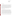Optical Open-Path Monitors Test/QA Plan Revision 1 Date: 10/28/99 Page: 49 of 67

#### **8.1.7 Ozone Sensor**

The UV absorption method of ozone measurement is inherently calibrated, relying as it does on the accurately determined absorption coefficient of ozone. As a result, routine calibration of the ozone monitor is not needed. However, the monitor will be operated according to the manufacturer's directions, with careful attention to the diagnostic indicators that assure proper operation of the monitor. In addition, at least once during the verification test of each open-path monitor, the ozone monitor will be checked in a side-by-side comparison with a different ozone monitor while sampling ambient air. Agreement within 5 ppbv or 10 percent of reading, whichever is greater, is required. Failure to meet this specification will result in investigation of the diagnostics of both monitors.

#### **8.1.8 Monitor for NO and NH3**

The NO monitor will be calibrated using a commercial standard of NO in nitrogen, the concentration of which has been established by direct comparison to a Standard Reference Material of NO in nitrogen, obtained from the NIST. A multipoint calibration will be performed before any verification testing takes place, and a single point span check will be performed before testing of each vendor's open-path system. If that single-point check differs from the original multipoint result by more than 5 percent, then a new multipoint calibration will be performed. In addition, at least once during the verification testing of each open-path monitor, using  $NO$  or  $NH<sub>3</sub>$  as a target gas, the NO calibration will be checked by measurement of an independent NO calibration standard obtained from an independent supplier. That comparison will be conducted as part of the Performance Evaluation Audits in Section 8.2.2.

The conversion efficiency of the NH<sub>3</sub> converter will be established before testing each open-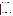US EPA ARCHIVE DOCUMENT

Optical Open-Path Monitors Test/QA Plan Revision 1 Date: 10/28/99 Page: 50 of 67

path system for which  $NH<sub>3</sub>$  is a target compound. The efficiency test will consist of operating the NO monitor with the NH<sub>3</sub> converter, while sampling a constant NH<sub>3</sub> concentration in clean dilution gas. A second  $NH<sub>3</sub>$  converter will then be inserted into the sampling line downstream of the first, and the conversion efficiency of the first converter will be assessed by the increase (if any) in response. This approach requires a stable  $NH_3$  source, but does not require a certified or even known  $NH_3$ concentration. All NH<sub>3</sub> measurements will be corrected for the conversion efficiency determined in this way.

#### **8.2 Assessment and Audits**

#### **8.2.1 Technical Systems Audit**

Battelle's Quality Manager, Ms. Sandy Anderson or her designee, will perform a technical systems audit once during a verification test. The purpose of this technical systems audit is to ensure that the verification test is being performed in accordance with this test/QA plan and that all QA/QC procedures are being implemented. During this audit, Ms. Anderson will review the calibration sources and methods used, compare actual test procedures to those specified in this plan, and review data acquisition and handling procedures. She will also review instrument calibration records and gas certificates of analysis.

#### **8.2.2 Performance Evaluation Audits**

Performance evaluation audits will be conducted to assess the quality of the measurements made in this verification test. These audits address only those measurements made by Battelle in conducting the verification test, i.e., the monitors being verified and the vendors operating these analyzers are not the subject of the performance evaluation audits. These audits will be performed by analyzing a standard or comparing to a reference that is independent of standards used during the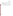Optical Open-Path Monitors Test/QA Plan Revision 1 Date: 10/28/99 Page: 51 of 67

testing. These audits will be performed once during the verification test of each monitor. The audit procedures, which are listed in Table 6, will be performed by the technical staff responsible for the measurements being audited. Battelle's Quality Manager will be present during at least one of the performance evaluation audits to assess the results.

The measurements (physical or chemical) will undergo the performance evaluation audit by comparison to independent measurements or standards, as indicated in Sections 8.1.2 through 8.1.8, and summarized in Table 6. If during the performance evaluation audit, the measurement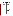Optical Open-Path Monitors Test/QA Plan Revision 1 Date: 10/28/99 Page: 52 of 67

| <b>Measurement to be Audited</b>                    | <b>Audit Procedure</b>                                                                                      |
|-----------------------------------------------------|-------------------------------------------------------------------------------------------------------------|
| Ammonia                                             | Compare measurements using<br>an independent NO standard.                                                   |
| Temperature                                         | Compare to independent<br>temperature measurement (Hg<br>thermometer)                                       |
| Relative humidity                                   | Compare to independent RH<br>measurement (wet/dry bulb<br>device)                                           |
| Oxygen                                              | Compare to independent<br>oxygen measurement (different<br>analyzer)                                        |
| <b>Carbon Monoxide</b>                              | Compare measurement using<br>an independent carbon<br>monoxide standard                                     |
| <b>Carbon Dioxide</b>                               | Compare measurement using<br>an independent carbon dioxide<br>standard                                      |
| Ozone                                               | Compare to independent ozone<br>measurement (different<br>analyzer)                                         |
| N <sub>O</sub>                                      | Compare measurements using<br>an independent NO standard                                                    |
| Other target gases (e.g.<br>benzene, methane, etc.) | Comparison to results of gas<br>chromatographic analysis of<br>canister sample                              |
| HF                                                  | Comparison to results of ion<br>selective electrode or ion<br>chromatography analysis of<br>impinger sample |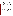US EPA ARCHIVE DOCUMENT

Optical Open-Path Monitors Test/QA Plan Revision 1 Date: 10/28/99 Page: 53 of 67

(a) Each audit procedure will be performed at least once during the verification test.

being audited does not meet the specified performance criteria, the verification test will be stopped until the cause of the failed audit is determined.

Table 6 indicates that performance auditing of the prepared HF and hydrocarbon concentrations will be conducted by independent analysis of the test gas mixture supplied to the optical cell during verification testing. For the target organic compounds (i.e., methane, benzene, ethylene, cyclohexane, and tetrachloroethylene), this procedure will involve collecting a sample of the test gas mixture exiting the cell using a pre-cleaned and evacuated Summa-polished sampling canister. This gas sample will be returned to Battelle, and analyzed using EPA Method 18 when applicable for the target hydrocarbons (methane, benzene, ethylene, and cyclohexane) using gas chromatography with flame ionization detection (GC/FID). Calibration of the FID response will be based on a NIST propane standard containing 9 ppm carbon. Analysis for tetrachloroethylene will be by GC with mass selective detection (GC/MS), using a gravimetrically prepared standard of the target compound for calibration.

For HF, the performance audit will involve passing a known volume of the gas mixture exiting the optical cell through an impinger containing deionized water. The collected HF solution will then be analyzed at Battelle by either of two techniques: an ion selective electrode, as is the basis for EPA Method 13B, or ion chromatography for fluoride ion. In either case calibration will be based on fluoride solution standards prepared gravimetrically from high purity water and reagents.

For both the organics and HF, the analytical results of the performance audit samples must indicate concentrations in the optical cell within 10 percent of the expected concentrations. If not, the target gas source and dilution system will be assembled at Battelle, and additional samples will be collected and analyzed to re-establish the output of the gas source and dilution system. The same optical cell used in the verification test will be obtained from the technology vendor for use in this effort.

#### **8.2.3 Data Quality Audit**

Battelle's Quality Manager will audit at least 10 percent of the verification data acquired in the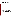Optical Open-Path Monitors Test/QA Plan Revision 1 Date: 10/28/99 Page: 54 of 67

verification test. The Quality Manager will trace the data from initial acquisition, through reduction and statistical comparisons, and to final reporting. All calculations performed on the data undergoing audit will be checked.

#### **8.3 Assessment Reports**

Each assessment and audit will be documented in accordance with Section 2.9.7 of the QMP for the AMS pilot. $(1)$  Assessment reports will include the following:

- C Identification of any adverse findings or potential problems
- C Response to adverse findings or potential problems
- C Possible recommendations for resolving problems
- C Citation of any noteworthy practices that may be of use to others
- Confirmation that solutions have been implemented and are effective.

#### **8.4 Corrective Action**

The Quality Manager during the course of any assessment or audit will identify to the technical staff performing experimental activities any immediate corrective action that should be taken. If serious quality problems exist, the Battelle Quality Manager is authorized to stop work. Once the assessment report has been prepared, the Verification Test Coordinator will ensure that a response is provided for each adverse finding or potential problem, and will implement any necessary follow-up corrective action.

# **9. DATA ANALYSIS AND REPORTING**

**9.1. Data Acquisition**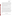Optical Open-Path Monitors Test/QA Plan Revision 1 Date: 10/28/99 Page: 55 of 67

Data acquisition in this verification test includes recording of response data from the monitors undergoing testing, operational data such as ambient RH and temperatures, times of test activities, etc.

Data acquisition for the commercial monitors undergoing verification is primarily performed by the vendors themselves during the test. Each monitor must have some form of data acquisition device, such as a digital display whose readings can be recorded manually, a printout of the monitor's response, or an electronic data recorder that stores individual monitor results. Throughout the test the vendor will be responsible for reporting the response of the monitor to the sample gases provided. Forms for this purpose will be provided as needed by Battelle.

Other data will be recorded in laboratory record books maintained by each Battelle staff member involved in the testing. These records will be reviewed on a daily basis to identify and resolve any inconsistencies.

In all cases, strict confidentiality of data from each vendor's monitor, and strict separation of data from different monitors, will be maintained. Separate files (including manual records, printouts, and/or electronic data files) will be kept for each monitor. At no time during verification testing will Battelle staff engage in any comparison or discussion of test data or of different monitors.

Table 7 summarizes the types of data to be recorded, where, how often, and by whom the recording is made, and the disposition or subsequent processing of the data. The general approach is to record all test information immediately and in a consistent format throughout all tests. Data recorded by the vendors is to be turned over to Battelle staff immediately upon completion of the test procedure. Test records will then be converted to Excel spreadsheet files by a designated Battelle staff member. Identical file formats will be used for the data from all analyzers tested, to assure uniformity of data treatment. This process of data recording and compiling will be overseen by the Verification Test Coordinator.

#### **9.2. Statistical Calculations**

Performance characterization is based on statistical comparisons of continuous open-path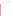Optical Open-Path Monitors Test/QA Plan Revision 1 Date: 10/28/99 Page: 56 of 67

monitor results to the known concentrations of the target gases. The following statistical procedures will be used to make those comparisons.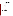Optical Open-Path Monitors Test/QA Plan Revision 1 Date: 10/28/99 Page: 57 of 67

| Data to be Recorded                       | <b>Recorded</b><br>By | Where<br><b>Recorded</b> | <b>When Recorded</b>                                         | <b>Disposition of Data</b>                                                   |  |  |
|-------------------------------------------|-----------------------|--------------------------|--------------------------------------------------------------|------------------------------------------------------------------------------|--|--|
| Dates, Times, Test Events                 | <b>Battelle</b>       | Data<br>$Sheet^{(a)}$    | Start of each test,<br>whenever testing<br>conditions change | Used to compile result,<br>manually entered into<br>spreadsheet as necessary |  |  |
| Test Parameters (temp.,                   | <b>Battelle</b>       | Data                     | Every hour during                                            | Transferred to                                                               |  |  |
| RH, etc)                                  |                       | $Sheet^{(a)}$            | testing                                                      | spreadsheet                                                                  |  |  |
| <b>Interference Gas</b><br>Concentrations | <b>Battelle</b>       | Data<br>$Sheet^{(a)}$    | Before and after each<br>measurement of<br>target gas        | Transferred to<br>spreadsheet                                                |  |  |
| <b>Target Gas</b>                         | <b>Battelle</b>       | Data                     | At specified time                                            | Transferred to                                                               |  |  |
| Concentrations                            |                       | $Sheet^{(a)}$            | during each test                                             | spreadsheet                                                                  |  |  |
| <b>Optical Open-Path</b>                  | Vendor                | Data                     | At specified time                                            | Transferred to                                                               |  |  |
| <b>Monitor Readings</b>                   |                       | $Sheet^{(a)}$            | during each test                                             | spreadsheet                                                                  |  |  |

**Table 7. Summary of Data Recording Process for the Verification Tests** 

(a) Sample data sheet provided in Appendix A.

#### **9.2.1 Minimum Detection Limit**

The minimum detection limit (MDL) is defined as the smallest concentration at which the monitor's expected response exceeds the calibration curve at the background reading by two times the standard deviation  $(\sigma_0)$  of the monitor's background reading.

$$
MDL \quad \overline{x_o} \% 26_o
$$

#### **9.2.2 Linearity**

Both concentration and source strength linearity will be assessed by linear regression with the certified gas concentration as independent variable and the monitor's response as dependent variable. Linearity will be assessed in terms of the slope, intercept, and correlation coefficient of the linear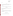Optical Open-Path Monitors Test/QA Plan Revision 1 Date: 10/28/99 Page: 58 of 67

regression.

$$
y \perp Mx \, \%\, b
$$

where *y* is the response of the monitor to a reference gas, *x* is the concentration of the target gas in the optical cell, M is the slope of the linear regression curve, and b is the zero offset.

#### **9.2.3 Accuracy**

The relative accuracy (A) of the monitor with respect to the reference gas will be assessed by:

$$
A = \frac{|R - T|}{\overline{R}} \times 100
$$

where the bars indicate the mean of the reference (R) values and monitor (T) results. This parameter will be determined at each concentration.

#### **9.2.4 Precision**

Precision will be reported in terms of the percent relative standard deviation (RSD) of a group of similar measurements. For a set of measurements given by  $T_1, T_2, ..., T_n$ , the standard deviation (ó)of these measurements is:

$$
s = \left[\frac{1}{n-1}\sum_{k=1}^{n} (T_k - \overline{T})^2\right]^{1/2}
$$

where  $\overline{T}$  is the average of the monitor's readings. The RSD is calculated from: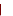Optical Open-Path Monitors Test/QA Plan Revision 1 Date: 10/28/99 Page: 59 of 67

$$
RSD = \left|\frac{S}{\overline{T}}\right| \times 100
$$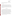Optical Open-Path Monitors Test/QA Plan Revision 1 Date: 10/28/99 Page: 60 of 67

and is a measure of the measurement uncertainty relative to the absolute value of the measurement. This parameter will be determined at each concentration.

#### **9.2.5 Interferences**

The extent of interference will be calculated in terms of sensitivity of the monitor to the interferent species, relative to its sensitivity to the target gas at a fixed integration time. The relative sensitivity is calculated as the ratio of the observed response of the monitor to the actual concentration of the interferent. For example, a monitor that reports 26 ppb of cyclohexane in air with an interference concentration of 100 ppb of  $CO_2$  may report 30 ppb of cyclohexane when the  $CO_2$  concentration is changed to 200 ppb. This would result in an interference effect of (30 ppb - 26 ppb)<sub>cyclohexane</sub>/(200ppb  $-100$  ppb)<sub>CO2</sub> or 4 percent.

#### **9.3. Data Review**

Records generated by Battelle staff in the verification test will receive one-over-one review within two weeks after generation, before these records are used to calculate, evaluate, or report verification results. These records may include laboratory record books; equipment calibration records; and data sheets used to record the monitor's response. This review will be performed by a Battelle technical staff member involved in the verification test, but not the staff member that originally generated the record. The review will be documented by the person performing the review by adding his/her initials and date to a hard copy of the record being reviewed. This hard copy will then be returned to the Battelle staff member who generated or who will be storing the record.

In addition, data calculations performed by Battelle will be spot-checked by Battelle technical staff to ensure that calculations are performed correctly. Calculations to be checked include determination of each monitor's precision, accuracy, minimum detection limit, and other statistical calculations identified in Section 9.2 of this test/QA plan.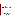Optical Open-Path Monitors Test/QA Plan Revision 1 Date: 10/28/99 Page: 61 of 67

#### **9.4. Reporting**

Statistical data calculations that result from each of the tests described above will be conducted separately for each optical open-path monitor. Separate verification reports will then be prepared, each addressing the monitor provided by one commercial vendor. For each parameter evaluated in this verification test, the verification report will present the measurement data, as well as the results of the statistical evaluation of those data.

The verification report will briefly describe the ETV program and the AMS pilot, and will describe the procedures used in the verification test, but will include specific requirements or departures from procedure necessitated in testing of the individual monitor in question. These sections will be common to each verification report resulting from this verification test. The results of the verification test will then be stated quantitatively, without comparison to any other monitor tested, or any comment on the acceptability of the monitor's performance. The preparation of draft verification reports, the review of reports by vendors and others, the revision of the reports, final approval, and the distribution of the reports, will be conducted as stated in the Generic Verification Protocol for the Advanced Monitoring Systems Pilot.<sup>3</sup> Preparation, approval, and use of verification statements summarizing the results of this test will also be subject to the requirements of that same Protocol.

# **10. HEALTH AND SAFETY**

#### **10.1. General**

The health and safety officer of the test facility, whether Battelle or one of the monitor vendors, will review the necessary health and safety requirements and guidelines for the facility with Battelle and vendor staff before the verification test begins. Battelle staff involved in this verification test will operate under these established requirements and guidelines as well as under appropriate procedures covered in the Battelle Safety Manual. Specifically, the use of personal protective equipment, as defined in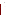Optical Open-Path Monitors Test/QA Plan Revision 1 Date: 10/28/99 Page: 62 of 67

procedure SIH-PP-01, will be used, and the chemical safety

protocols set forth in SIH-PP-05 will be followed. It is expected that while on Battelle's site, all vendor representatives will operate according to the Battelle site requirements.

#### **10.2. Potential Hazards**

Vendor staff will only be operating their open-path monitors during the verification test. They are not responsible for, nor permitted to, generate dilution gases, or perform any other verification activities identified in this test/QA plan. Operation of the open-path monitors does not pose any known chemical, fire, mechanical, electrical, noise, or other potential hazard.

#### **10.3. Training**

All vendor staff will be given a safety briefing prior to their installation and operation of their monitors in Battelle laboratories. This briefing will include a description of emergency operating procedures (i.e., in case of fire, tornado, bomb, laboratory accident) and identification and location and operation of safety equipment (e.g., fire alarms, fire extinguishers, eye washes, exits). Similar instruction will be provided by the vendor to all Battelle staff members traveling to the vendor's site.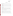Optical Open-Path Monitors Test/QA Plan Revision 1 Date: 10/28/99 Page: 63 of 67

## **11. DEFINITIONS**

**Accuracy** – The degree of agreement between the response of the optical open-path monitor and actual gas concentration.

**Dilution System -** An instrument or apparatus equipped with mass flow controllers, capable of flow control to  $\pm 1$  percent accuracy, and used for dilution of the target gas to concentrations suitable for the testing of the monitors.

**Monitor -** System provided by vendor, consisting of a radiation source and detector, used to measure atmospheric pollutants.

**Minimum Detection Limit** - The concentration at which the response of the optical open-path monitor equals two times the standard deviation of the noise level at the monitor background.

**Linearity** – The linear proportional relationship expected between analyte concentration and monitor response over the full measuring range of the monitor.

**Precision** - The degree of mutual agreement among successive readings of the same sample gas.

**Neutral Density Filter** - An optical filter that attenuates an incident beam of radiation without changing its spectral distribution, that is, it has a constant transmittance over a wide spectral range.

**Interference -** The response of the monitor to a constituent of the sample gas other than the target gas.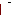Optical Open-Path Monitors Test/QA Plan Revision 1 Date: 10/28/99 Page: 64 of 67

**Pathlength -** The linear distance over which the radiation from the optical open-path monitor travels between the source and detector.

**Target gas -** The gas for which the monitor is making its measurement.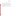Optical Open-Path Monitors Test/QA Plan Revision 1 Date: 10/28/99 Page: 65 of 67

# **12. REFERENCES**

- 1. Quality Management Plan (QMP) for the ETV Advanced Monitoring Systems Pilot, U. S. EPA Environmental Technology Verification Program, prepared by Battelle, Columbus, Ohio, September 1998.
- 2. Compendium Method TO-16 Long-Path Open-Path Fourier Transform Infrared Monitoring of Atmospheric Gases, EPA-625/R-96/010b, U.S. Environmental Protection Agency, Cincinnati, Ohio, January 1997.
- 3. Generic Verification Protocol for the Advanced Monitoring Systems Pilot, U. S. EPA Environmental Technology Verification Program, prepared by Battelle, Columbus, Ohio, October 1998.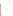Optical Open-Path Monitors Test/QA Plan Revision 1 Date: 10/28/99 Page: 66 of 67

# **APPENDIX A**

# **EXAMPLE DATA SHEET**